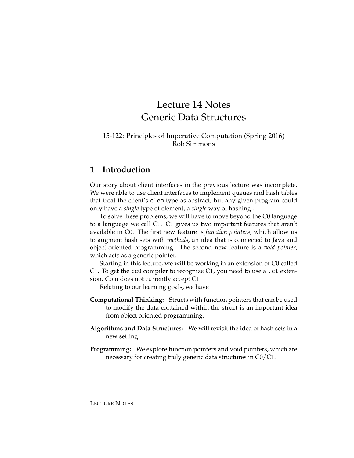# Lecture 14 Notes Generic Data Structures

#### 15-122: Principles of Imperative Computation (Spring 2016) Rob Simmons

# **1 Introduction**

Our story about client interfaces in the previous lecture was incomplete. We were able to use client interfaces to implement queues and hash tables that treat the client's elem type as abstract, but any given program could only have a *single* type of element, a *single* way of hashing .

To solve these problems, we will have to move beyond the C0 language to a language we call C1. C1 gives us two important features that aren't available in C0. The first new feature is *function pointers*, which allow us to augment hash sets with *methods*, an idea that is connected to Java and object-oriented programming. The second new feature is a *void pointer*, which acts as a generic pointer.

Starting in this lecture, we will be working in an extension of C0 called C1. To get the cc0 compiler to recognize C1, you need to use a .c1 extension. Coin does not currently accept C1.

Relating to our learning goals, we have

- **Computational Thinking:** Structs with function pointers that can be used to modify the data contained within the struct is an important idea from object oriented programming.
- **Algorithms and Data Structures:** We will revisit the idea of hash sets in a new setting.
- **Programming:** We explore function pointers and void pointers, which are necessary for creating truly generic data structures in C0/C1.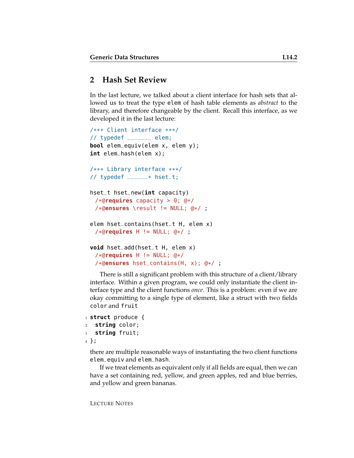# **2 Hash Set Review**

In the last lecture, we talked about a client interface for hash sets that allowed us to treat the type elem of hash table elements as *abstract* to the library, and therefore changeable by the client. Recall this interface, as we developed it in the last lecture:

```
/*** Client interface ***/
// typedef _______ elem;
bool elem_equiv(elem x, elem y);
int elem_hash(elem x);
/*** Library interface ***/
// typedef _{\text{---}--} * hset_t;
hset_t hset_new(int capacity)
 /*@requires capacity > 0; @*/
 /*@ensures \result != NULL; @*/ ;
elem hset_contains(hset_t H, elem x)
 /*@requires H != NULL; @*/ ;
void hset_add(hset_t H, elem x)
 /*@requires H != NULL; @*/
 /*@ensures hset_contains(H, x); @*/ ;
```
There is still a significant problem with this structure of a client/library interface. Within a given program, we could only instantiate the client interface type and the client functions *once*. This is a problem: even if we are okay committing to a single type of element, like a struct with two fields color and fruit

```
1 struct produce {
2 string color;
3 string fruit;
4 };
```
there are multiple reasonable ways of instantiating the two client functions elem\_equiv and elem\_hash.

If we treat elements as equivalent only if all fields are equal, then we can have a set containing red, yellow, and green apples, red and blue berries, and yellow and green bananas.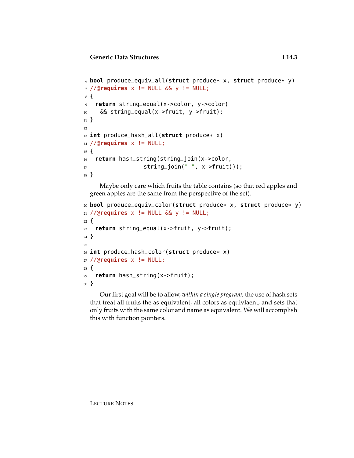```
6 bool produce_equiv_all(struct produce* x, struct produce* y)
7 //@requires x != NULL && y != NULL;
8 {
9 return string_equal(x->color, y->color)
10 && string_equal(x->fruit, y->fruit);
11 }
12
13 int produce_hash_all(struct produce* x)
14 //@requires x != NULL;
15 \quad16 return hash_string(string_join(x->color,
17 string_join(" ", x->fruit)));
18 }
```
Maybe only care which fruits the table contains (so that red apples and green apples are the same from the perspective of the set).

```
20 bool produce_equiv_color(struct produce* x, struct produce* y)
21 //@requires x != NULL && y != NULL;
22 \frac{1}{2}23 return string_equal(x->fruit, y->fruit);
24 }
25
26 int produce_hash_color(struct produce* x)
27 //@requires x != NULL;
28 {
29 return hash_string(x->fruit);
30 }
```
Our first goal will be to allow, *within a single program,* the use of hash sets that treat all fruits the as equivalent, all colors as equivlaent, and sets that only fruits with the same color and name as equivalent. We will accomplish this with function pointers.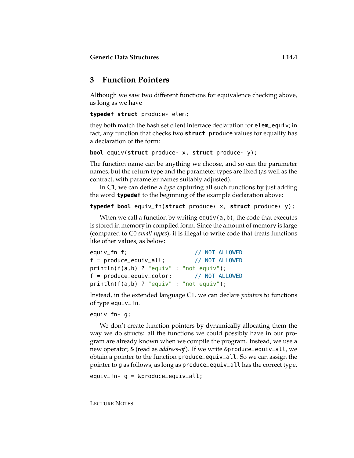# **3 Function Pointers**

Although we saw two different functions for equivalence checking above, as long as we have

**typedef struct** produce\* elem;

they both match the hash set client interface declaration for elem\_equiv; in fact, any function that checks two **struct** produce values for equality has a declaration of the form:

```
bool equiv(struct produce* x, struct produce* y);
```
The function name can be anything we choose, and so can the parameter names, but the return type and the parameter types are fixed (as well as the contract, with parameter names suitably adjusted).

In C1, we can define a *type* capturing all such functions by just adding the word **typedef** to the beginning of the example declaration above:

```
typedef bool equiv_fn(struct produce* x, struct produce* y);
```
When we call a function by writing  $equiv(a,b)$ , the code that executes is stored in memory in compiled form. Since the amount of memory is large (compared to C0 *small types*), it is illegal to write code that treats functions like other values, as below:

```
equiv_fn f; // NOT ALLOWED
f = produce_equiv_all; // NOT ALLOWED
println(f(a,b) ? "equiv" : "not equiv");
f = produce_equiv_color; // NOT ALLOWED
println(f(a,b) ? "equiv" : "not equiv");
```
Instead, in the extended language C1, we can declare *pointers* to functions of type equiv\_fn.

```
equiv_fn* g;
```
We don't create function pointers by dynamically allocating them the way we do structs: all the functions we could possibly have in our program are already known when we compile the program. Instead, we use a new operator, & (read as *address-of*). If we write &produce\_equiv\_all, we obtain a pointer to the function produce\_equiv\_all. So we can assign the pointer to g as follows, as long as produce\_equiv\_all has the correct type.

```
equiv\_fn* g = \&produce_equiv_all;
```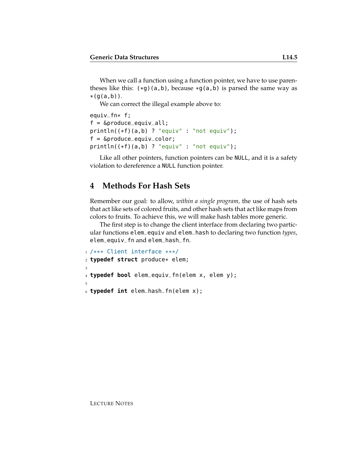When we call a function using a function pointer, we have to use parentheses like this:  $(*g)(a,b)$ , because  $*g(a,b)$  is parsed the same way as  $*(q(a,b))$ .

We can correct the illegal example above to:

```
equiv_fn* f;
f = \&produce_equiv_all;
println((*f)(a,b) ? "equiv" : "not equiv");
f = &produce_equiv_color;
println((*f)(a,b) ? "equiv" : "not equiv");
```
Like all other pointers, function pointers can be NULL, and it is a safety violation to dereference a NULL function pointer.

# **4 Methods For Hash Sets**

Remember our goal: to allow, *within a single program,* the use of hash sets that act like sets of colored fruits, and other hash sets that act like maps from colors to fruits. To achieve this, we will make hash tables more generic.

The first step is to change the client interface from declaring two particular functions elem\_equiv and elem\_hash to declaring two function *types*, elem\_equiv\_fn and elem\_hash\_fn.

```
1 /*** Client interface ***/
2 typedef struct produce* elem;
3
4 typedef bool elem_equiv_fn(elem x, elem y);
5
6 typedef int elem_hash_fn(elem x);
```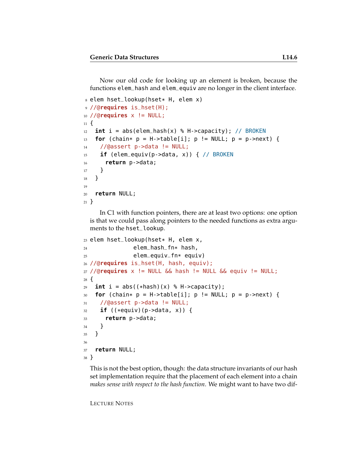Now our old code for looking up an element is broken, because the functions elem\_hash and elem\_equiv are no longer in the client interface.

```
s elem hset_lookup(hset* H, elem x)
9 //@requires is_hset(H);
10 //@requires x != NULL;
11 \t{1}_{12} int i = abs(elem_hash(x) % H->capacity); // BROKEN
13 for (chain* p = H->table[i]; p != NULL; p = p->next) {
14 //@assert p->data != NULL;
15 if (elem_equiv(p->data, x)) { // BROKEN
16 return p->data;
17 }
18 }
19
20 return NULL;
21 }
```
In C1 with function pointers, there are at least two options: one option is that we could pass along pointers to the needed functions as extra arguments to the hset\_lookup.

```
23 elem hset_lookup(hset* H, elem x,
24 elem_hash_fn* hash,
25 elem_equiv_fn* equiv)
26 //@requires is_hset(H, hash, equiv);
27 //@requires x != NULL && hash != NULL && equiv != NULL;
28 {
29 int i = abs((*hash)(x) % H->capacity);
30 for (chain* p = H->table[i]; p != NULL; p = p->next) {
31 //@assert p->data != NULL;
32 if ((*equiv)(p->data, x)) {
33 return p->data;
34 }
35 }
36
37 return NULL;
38 }
```
This is not the best option, though: the data structure invariants of our hash set implementation require that the placement of each element into a chain *makes sense with respect to the hash function*. We might want to have two dif-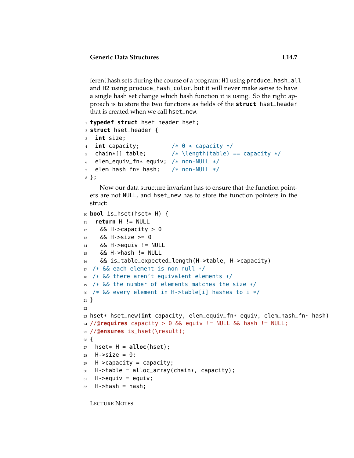ferent hash sets during the course of a program: H1 using produce\_hash\_all and H2 using produce\_hash\_color, but it will never make sense to have a single hash set change which hash function it is using. So the right approach is to store the two functions as fields of the **struct** hset\_header that is created when we call hset\_new.

```
1 typedef struct hset_header hset;
2 struct hset_header {
3 int size;
4 int capacity; /* 0 < capacity */
5 chain*[] table; / \lambda \length(table) == capacity */6 elem_equiv_fn* equiv; /* non-NULL */
\bar{z} elem_hash_fn* hash; /* non-NULL */
8 };
```
Now our data structure invariant has to ensure that the function pointers are not NULL, and hset\_new has to store the function pointers in the struct:

```
10 bool is_hset(hset* H) {
11 return H != NULL
12 && H->capacity > 0
13 \&\&\; H\text{-} > Size >= 0
14 && H->equiv != NULL
15 && H->hash != NULL
16 && is_table_expected_length(H->table, H->capacity)
17 /* && each element is non-null */
18 /* && there aren't equivalent elements */
19 /* && the number of elements matches the size */
20 /* && every element in H->table[i] hashes to i */
21 }
2223 hset* hset_new(int capacity, elem_equiv_fn* equiv, elem_hash_fn* hash)
24 //@requires capacity > 0 && equiv != NULL && hash != NULL;
25 //@ensures is_hset(\result);
26 \text{ } f27 hset* H = \alphalloc(hset);
28 H->size = 0;
29 H->capacity = capacity;
30 H->table = alloc_array(chain*, capacity);
31 H->equiv = equiv;
32 H->hash = hash;
```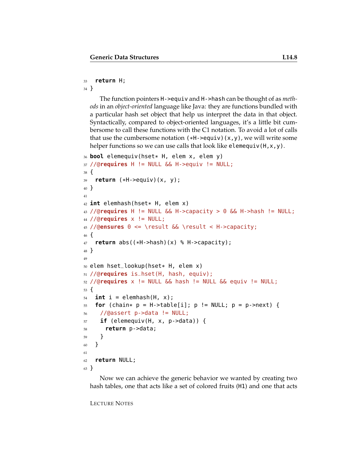#### **return** H;

}

The function pointers H->equiv and H->hash can be thought of as *methods* in an *object-oriented* language like Java: they are functions bundled with a particular hash set object that help us interpret the data in that object. Syntactically, compared to object-oriented languages, it's a little bit cumbersome to call these functions with the C1 notation. To avoid a lot of calls that use the cumbersome notation  $(*H\rightarrow\text{equiv}) (x,y)$ , we will write some helper functions so we can use calls that look like elemequiv(H, x, y).

```
36 bool elemequiv(hset* H, elem x, elem y)
37 //@requires H != NULL && H->equiv != NULL;
38 {
39 return (*H->equiv)(x, y);
40 }
41
42 int elemhash(hset* H, elem x)
43 //@requires H != NULL && H->capacity > 0 && H->hash != NULL;
44 //@requires x != NULL;
45 //@ensures 0 <= \result && \result < H->capacity;
46 {
47 return abs((*H->hash)(x) % H->capacity);
48 }
49
50 elem hset_lookup(hset* H, elem x)
51 //@requires is_hset(H, hash, equiv);
52 //@requires x != NULL && hash != NULL && equiv != NULL;
53 {
54 int i = elemhash(H, x);
55 for (chain* p = H->table[i]; p := NULL; p = p->next) {
56 //@assert p->data != NULL;
57 if (elemequiv(H, x, p->data)) {
58 return p->data;
59 }
60 }
61
62 return NULL;
63 }
```
Now we can achieve the generic behavior we wanted by creating two hash tables, one that acts like a set of colored fruits (H1) and one that acts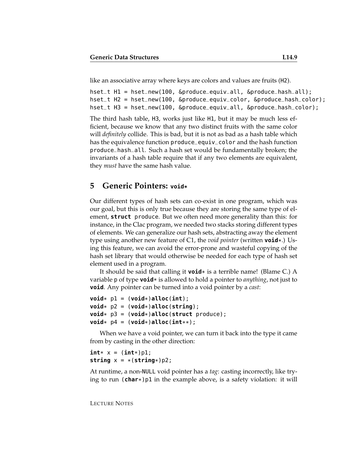like an associative array where keys are colors and values are fruits (H2).

```
hset_t H1 = hset_new(100, &produce_equiv_all, &produce_hash_all);
hset_t H2 = hset_new(100, &produce_equiv_color, &produce_hash_color);
hset_t H3 = hset_new(100, &produce_equiv_all, &produce_hash_color);
```
The third hash table, H3, works just like H1, but it may be much less efficient, because we know that any two distinct fruits with the same color will *definitely* collide. This is bad, but it is not as bad as a hash table which has the equivalence function produce\_equiv\_color and the hash function produce\_hash\_all. Such a hash set would be fundamentally broken; the invariants of a hash table require that if any two elements are equivalent, they *must* have the same hash value.

#### **5 Generic Pointers: void\***

Our different types of hash sets can co-exist in one program, which was our goal, but this is only true because they are storing the same type of element, **struct** produce. But we often need more generality than this: for instance, in the Clac program, we needed two stacks storing different types of elements. We can generalize our hash sets, abstracting away the element type using another new feature of C1, the *void pointer* (written **void**\*.) Using this feature, we can avoid the error-prone and wasteful copying of the hash set library that would otherwise be needed for each type of hash set element used in a program.

It should be said that calling it **void**\* is a terrible name! (Blame C.) A variable p of type **void**\* is allowed to hold a pointer to *anything*, not just to **void**. Any pointer can be turned into a void pointer by a *cast*:

```
\text{void} * \text{ p1} = (\text{void} * ) \text{ all} \text{ loc}(\text{int});
\text{void}* p2 = (\text{void}*)alloc(string);
void* p3 = (void*)alloc(struct produce);
\text{void}* \text{ p4} = (\text{void}*)\text{ allloc}(\text{int}**);
```
When we have a void pointer, we can turn it back into the type it came from by casting in the other direction:

```
int* x = (int*)p1;
string x = * (string*)p2;
```
At runtime, a non-NULL void pointer has a *tag*: casting incorrectly, like trying to run (**char**\*)p1 in the example above, is a safety violation: it will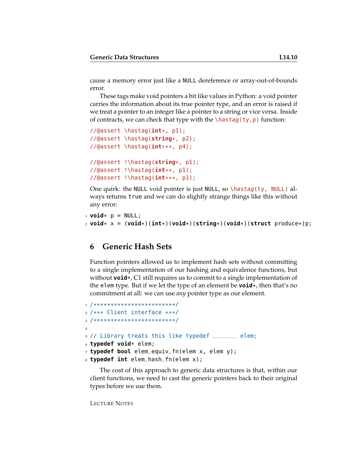cause a memory error just like a NULL dereference or array-out-of-bounds error.

These tags make void pointers a bit like values in Python: a void pointer carries the information about its true pointer type, and an error is raised if we treat a pointer to an integer like a pointer to a string or vice versa. Inside of contracts, we can check that type with the  $\hbar$ astag(ty,p) function:

```
//@assert \hastag(int*, p1);
//@assert \hastag(string*, p2);
//@assert \hastag(int***, p4);
//@assert !\hastag(string*, p1);
//@assert !\hastag(int**, p1);
//@assert !\hastag(int***, p1);
```
One quirk: the NULL void pointer is just NULL, so  $\hbar s tag(ty, NULL)$  always returns true and we can do slightly strange things like this without any error:

```
1 void* p = NULL;2 void* x = (void*)(int*)(void*)(string*)(void*)(struct produce*)p;
```
### **6 Generic Hash Sets**

Function pointers allowed us to implement hash sets without committing to a single implementation of our hashing and equivalence functions, but without **void**\*, C1 still requires us to commit to a single implementation of the elem type. But if we let the type of an element be **void**\*, then that's no commitment at all: we can use *any* pointer type as our element.

```
1 /************************/
2 /*** Client interface ***/
3 /************************/
4
5 // Library treats this like typedef _______ elem;
6 typedef void* elem;
7 typedef bool elem_equiv_fn(elem x, elem y);
8 typedef int elem_hash_fn(elem x);
```
The cost of this approach to generic data structures is that, within our client functions, we need to cast the generic pointers back to their original types before we use them.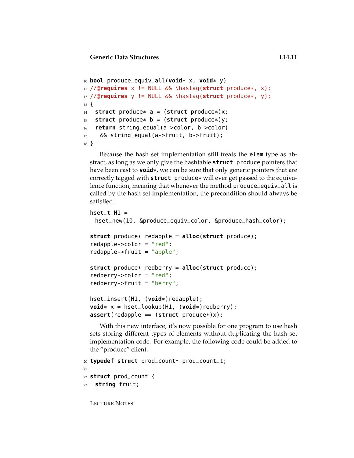```
10 bool produce_equiv_all(void* x, void* y)
11 //@requires x != NULL && \hastag(struct produce*, x);
12 //@requires y != NULL && \hastag(struct produce*, y);
13 \frac{1}{2}14 struct produce* a = (struct produce*)x;
15 struct produce* b = (struct produce*)y;
16 return string_equal(a->color, b->color)
17 & String equal (a->fruit, b->fruit);
18 }
```
Because the hash set implementation still treats the elem type as abstract, as long as we only give the hashtable **struct** produce pointers that have been cast to **void**\*, we can be sure that only generic pointers that are correctly tagged with **struct** produce\* will ever get passed to the equivalence function, meaning that whenever the method produce\_equiv\_all is called by the hash set implementation, the precondition should always be satisfied.

```
hset_t H1 =hset_new(10, &produce_equiv_color, &produce_hash_color);
struct produce* redapple = alloc(struct produce);
redapple->color = "red";
redapple->fruit = "apple";
struct produce* redberry = alloc(struct produce);
redberry->color = "red";
redberry->fruit = "berry";
hset_insert(H1, (void*)redapple);
void* x = hset_lookup(H1, (void*)redberry);
assert(redapple == (struct produce*)x);
```
With this new interface, it's now possible for one program to use hash sets storing different types of elements without duplicating the hash set implementation code. For example, the following code could be added to the "produce" client.

```
20 typedef struct prod_count* prod_count_t;
21
22 struct prod_count {
23 string fruit;
```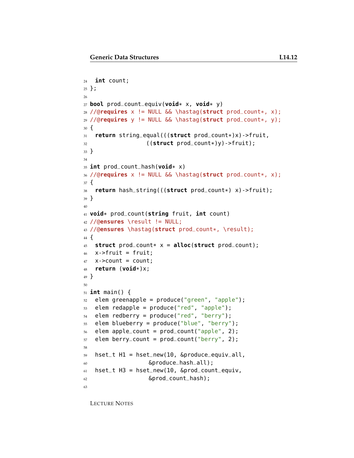```
24 int count;
25 };
26
27 bool prod_count_equiv(void* x, void* y)
28 //@requires x != NULL && \hastag(struct prod_count*, x);
29 //@requires y != NULL && \hastag(struct prod_count*, y);
30 {
31 return string_equal(((struct prod_count*)x)->fruit,
32 ((struct prod_count*)y)->fruit);
33 }
34
35 int prod_count_hash(void* x)
36 //@requires x != NULL && \hastag(struct prod_count*, x);
37 {
38 return hash_string(((struct prod_count*) x)->fruit);
39 }
40
41 void* prod_count(string fruit, int count)
42 //@ensures \result != NULL;
43 //@ensures \hastag(struct prod_count*, \result);
44 {
45 struct prod_count* x = alloc(struct prod_count);
46 x->fruit = fruit;
47 x->count = count;
48 return (void*)x;
49 }
50
51 int main() {
52 elem greenapple = produce("green", "apple");
53 elem redapple = produce("red", "apple");
54 elem redberry = produce("red", "berry");
55 elem blueberry = produce("blue", "berry");
56 elem apple_count = prod_count("apple", 2);
57 elem berry_count = prod_count("berry", 2);
58
59 hset_t H1 = hset_new(10, &produce_equiv_all,
60 &produce_hash_all);
61 hset_t H3 = hset_new(10, \deltaprod_count_equiv,
62 &prod_count_hash);
63
```